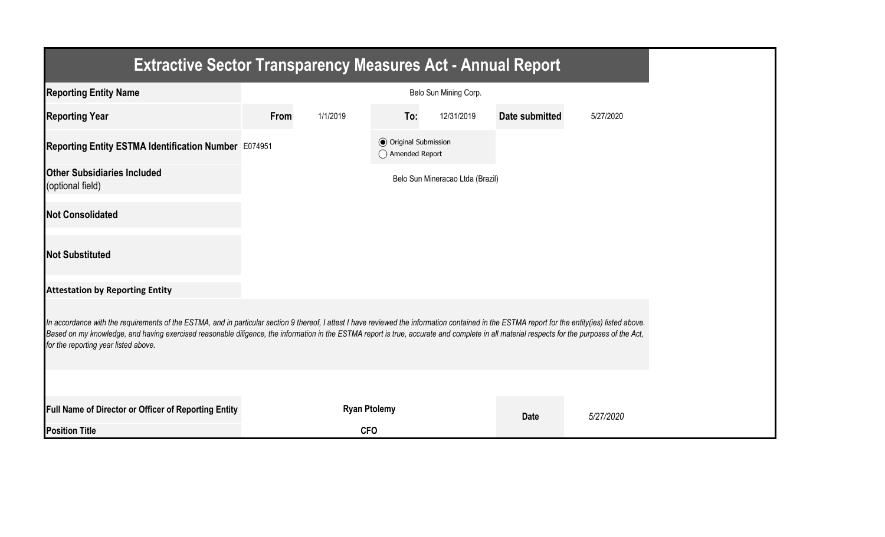| <b>Extractive Sector Transparency Measures Act - Annual Report</b>                                                                                                                                                                                                                                                                                                                                                                    |                       |                     |                                                  |                                  |                       |           |  |
|---------------------------------------------------------------------------------------------------------------------------------------------------------------------------------------------------------------------------------------------------------------------------------------------------------------------------------------------------------------------------------------------------------------------------------------|-----------------------|---------------------|--------------------------------------------------|----------------------------------|-----------------------|-----------|--|
| <b>Reporting Entity Name</b>                                                                                                                                                                                                                                                                                                                                                                                                          | Belo Sun Mining Corp. |                     |                                                  |                                  |                       |           |  |
| <b>Reporting Year</b>                                                                                                                                                                                                                                                                                                                                                                                                                 | From                  | 1/1/2019            | To:                                              | 12/31/2019                       | <b>Date submitted</b> | 5/27/2020 |  |
| Reporting Entity ESTMA Identification Number E074951                                                                                                                                                                                                                                                                                                                                                                                  |                       |                     | <b>◎</b> Original Submission<br>◯ Amended Report |                                  |                       |           |  |
| <b>Other Subsidiaries Included</b><br>(optional field)                                                                                                                                                                                                                                                                                                                                                                                |                       |                     |                                                  | Belo Sun Mineracao Ltda (Brazil) |                       |           |  |
| <b>Not Consolidated</b>                                                                                                                                                                                                                                                                                                                                                                                                               |                       |                     |                                                  |                                  |                       |           |  |
| <b>Not Substituted</b>                                                                                                                                                                                                                                                                                                                                                                                                                |                       |                     |                                                  |                                  |                       |           |  |
| <b>Attestation by Reporting Entity</b>                                                                                                                                                                                                                                                                                                                                                                                                |                       |                     |                                                  |                                  |                       |           |  |
| In accordance with the requirements of the ESTMA, and in particular section 9 thereof, I attest I have reviewed the information contained in the ESTMA report for the entity(ies) listed above.<br>Based on my knowledge, and having exercised reasonable diligence, the information in the ESTMA report is true, accurate and complete in all material respects for the purposes of the Act,<br>for the reporting year listed above. |                       |                     |                                                  |                                  |                       |           |  |
|                                                                                                                                                                                                                                                                                                                                                                                                                                       |                       |                     |                                                  |                                  |                       |           |  |
| Full Name of Director or Officer of Reporting Entity                                                                                                                                                                                                                                                                                                                                                                                  |                       | <b>Ryan Ptolemy</b> |                                                  |                                  | <b>Date</b>           | 5/27/2020 |  |
| <b>Position Title</b>                                                                                                                                                                                                                                                                                                                                                                                                                 |                       | <b>CFO</b>          |                                                  |                                  |                       |           |  |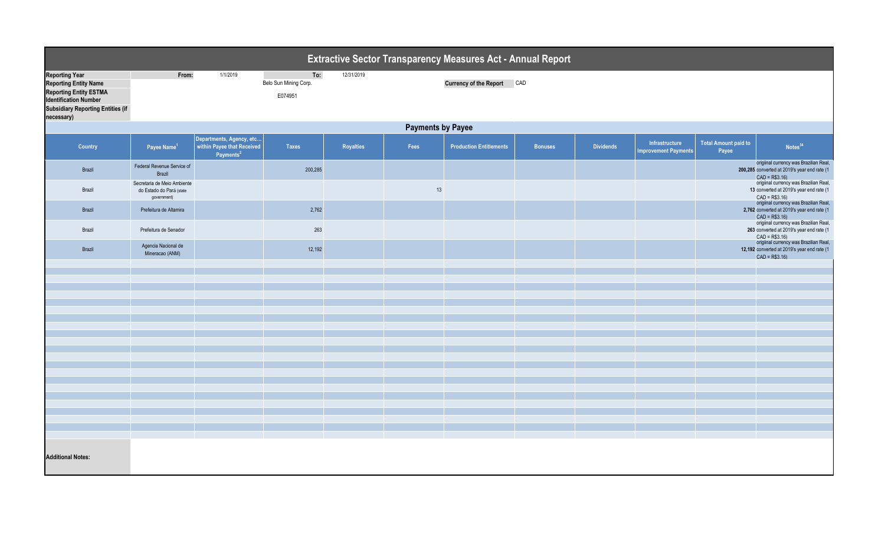| <b>Extractive Sector Transparency Measures Act - Annual Report</b>                                                                                                               |                                                                        |                                                                                 |                                         |            |      |                                |                |                  |                                               |                               |                                                                                                                                                |  |
|----------------------------------------------------------------------------------------------------------------------------------------------------------------------------------|------------------------------------------------------------------------|---------------------------------------------------------------------------------|-----------------------------------------|------------|------|--------------------------------|----------------|------------------|-----------------------------------------------|-------------------------------|------------------------------------------------------------------------------------------------------------------------------------------------|--|
| <b>Reporting Year</b><br><b>Reporting Entity Name</b><br><b>Reporting Entity ESTMA</b><br><b>Identification Number</b><br><b>Subsidiary Reporting Entities (if</b><br>necessary) | From:                                                                  | 1/1/2019                                                                        | To:<br>Belo Sun Mining Corp.<br>E074951 | 12/31/2019 |      | <b>Currency of the Report</b>  | CAD            |                  |                                               |                               |                                                                                                                                                |  |
| <b>Payments by Payee</b>                                                                                                                                                         |                                                                        |                                                                                 |                                         |            |      |                                |                |                  |                                               |                               |                                                                                                                                                |  |
| <b>Country</b>                                                                                                                                                                   | Payee Name <sup>1</sup>                                                | Departments, Agency, etc<br>within Payee that Received<br>Payments <sup>2</sup> | <b>Taxes</b>                            | Royalties  | Fees | <b>Production Entitlements</b> | <b>Bonuses</b> | <b>Dividends</b> | Infrastructure<br><b>Improvement Payments</b> | Total Amount paid to<br>Payee | Notes <sup>34</sup>                                                                                                                            |  |
| Brazil                                                                                                                                                                           | Federal Revenue Service of<br>Brazil                                   |                                                                                 | 200,285                                 |            |      |                                |                |                  |                                               |                               | origiinal currency was Brazilian Real,<br>200,285 converted at 2019's year end rate (1<br>$CAD = R$3.16$                                       |  |
| Brazil                                                                                                                                                                           | Secretaria de Meio Ambiente<br>do Estado do Pará (state<br>government) |                                                                                 |                                         |            | 13   |                                |                |                  |                                               |                               | origiinal currency was Brazilian Real,<br>13 converted at 2019's year end rate (1<br>$CAD = R$3.16$                                            |  |
| Brazil                                                                                                                                                                           | Prefeitura de Altamira                                                 |                                                                                 | 2,762                                   |            |      |                                |                |                  |                                               |                               | origiinal currency was Brazilian Real,<br>2,762 converted at 2019's year end rate (1<br>$CAD = R$3.16$                                         |  |
| Brazil                                                                                                                                                                           | Prefeitura de Senador                                                  |                                                                                 | 263                                     |            |      |                                |                |                  |                                               |                               | origiinal currency was Brazilian Real,<br>263 converted at 2019's year end rate (1<br>$CAD = R$3.16$<br>origiinal currency was Brazilian Real, |  |
| Brazil                                                                                                                                                                           | Agencia Nacional de<br>Mineracao (ANM)                                 |                                                                                 | 12,192                                  |            |      |                                |                |                  |                                               |                               | 12,192 converted at 2019's year end rate (1<br>$CAD = R$3.16$                                                                                  |  |
|                                                                                                                                                                                  |                                                                        |                                                                                 |                                         |            |      |                                |                |                  |                                               |                               |                                                                                                                                                |  |
|                                                                                                                                                                                  |                                                                        |                                                                                 |                                         |            |      |                                |                |                  |                                               |                               |                                                                                                                                                |  |
|                                                                                                                                                                                  |                                                                        |                                                                                 |                                         |            |      |                                |                |                  |                                               |                               |                                                                                                                                                |  |
|                                                                                                                                                                                  |                                                                        |                                                                                 |                                         |            |      |                                |                |                  |                                               |                               |                                                                                                                                                |  |
|                                                                                                                                                                                  |                                                                        |                                                                                 |                                         |            |      |                                |                |                  |                                               |                               |                                                                                                                                                |  |
|                                                                                                                                                                                  |                                                                        |                                                                                 |                                         |            |      |                                |                |                  |                                               |                               |                                                                                                                                                |  |
|                                                                                                                                                                                  |                                                                        |                                                                                 |                                         |            |      |                                |                |                  |                                               |                               |                                                                                                                                                |  |
|                                                                                                                                                                                  |                                                                        |                                                                                 |                                         |            |      |                                |                |                  |                                               |                               |                                                                                                                                                |  |
|                                                                                                                                                                                  |                                                                        |                                                                                 |                                         |            |      |                                |                |                  |                                               |                               |                                                                                                                                                |  |
|                                                                                                                                                                                  |                                                                        |                                                                                 |                                         |            |      |                                |                |                  |                                               |                               |                                                                                                                                                |  |
|                                                                                                                                                                                  |                                                                        |                                                                                 |                                         |            |      |                                |                |                  |                                               |                               |                                                                                                                                                |  |
|                                                                                                                                                                                  |                                                                        |                                                                                 |                                         |            |      |                                |                |                  |                                               |                               |                                                                                                                                                |  |
|                                                                                                                                                                                  |                                                                        |                                                                                 |                                         |            |      |                                |                |                  |                                               |                               |                                                                                                                                                |  |
|                                                                                                                                                                                  |                                                                        |                                                                                 |                                         |            |      |                                |                |                  |                                               |                               |                                                                                                                                                |  |
|                                                                                                                                                                                  |                                                                        |                                                                                 |                                         |            |      |                                |                |                  |                                               |                               |                                                                                                                                                |  |
|                                                                                                                                                                                  |                                                                        |                                                                                 |                                         |            |      |                                |                |                  |                                               |                               |                                                                                                                                                |  |
| <b>Additional Notes:</b>                                                                                                                                                         |                                                                        |                                                                                 |                                         |            |      |                                |                |                  |                                               |                               |                                                                                                                                                |  |